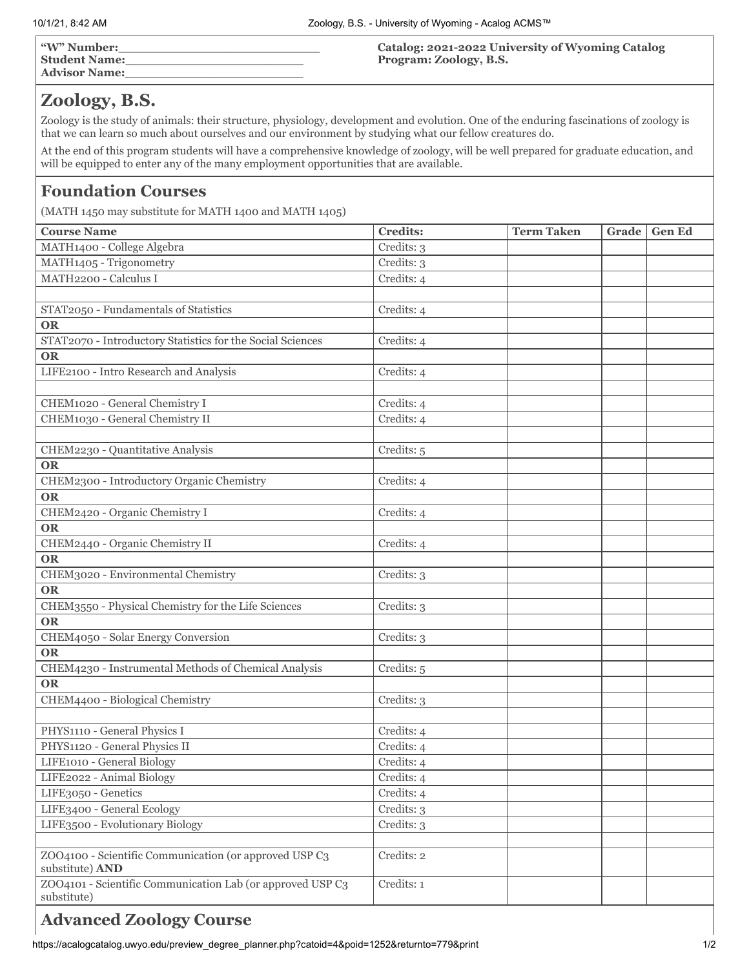|--|

# **Zoology, B.S.**

Zoology is the study of animals: their structure, physiology, development and evolution. One of the enduring fascinations of zoology is that we can learn so much about ourselves and our environment by studying what our fellow creatures do.

At the end of this program students will have a comprehensive knowledge of zoology, will be well prepared for graduate education, and will be equipped to enter any of the many employment opportunities that are available.

## **Foundation Courses**

(MATH 1450 may substitute for MATH 1400 and MATH 1405)

| <b>Course Name</b>                                                        | <b>Credits:</b> | <b>Term Taken</b> | Grade | <b>Gen Ed</b> |
|---------------------------------------------------------------------------|-----------------|-------------------|-------|---------------|
| MATH1400 - College Algebra                                                | Credits: 3      |                   |       |               |
| MATH1405 - Trigonometry                                                   | Credits: 3      |                   |       |               |
| MATH2200 - Calculus I                                                     | Credits: 4      |                   |       |               |
|                                                                           |                 |                   |       |               |
| STAT2050 - Fundamentals of Statistics                                     | Credits: 4      |                   |       |               |
| <b>OR</b>                                                                 |                 |                   |       |               |
| STAT2070 - Introductory Statistics for the Social Sciences                | Credits: 4      |                   |       |               |
| <b>OR</b>                                                                 |                 |                   |       |               |
| LIFE2100 - Intro Research and Analysis                                    | Credits: 4      |                   |       |               |
|                                                                           |                 |                   |       |               |
| CHEM1020 - General Chemistry I                                            | Credits: 4      |                   |       |               |
| CHEM1030 - General Chemistry II                                           | Credits: 4      |                   |       |               |
|                                                                           |                 |                   |       |               |
| CHEM2230 - Quantitative Analysis                                          | Credits: 5      |                   |       |               |
| <b>OR</b>                                                                 |                 |                   |       |               |
| CHEM2300 - Introductory Organic Chemistry                                 | Credits: 4      |                   |       |               |
| <b>OR</b>                                                                 |                 |                   |       |               |
| CHEM2420 - Organic Chemistry I                                            | Credits: 4      |                   |       |               |
| <b>OR</b>                                                                 |                 |                   |       |               |
| CHEM2440 - Organic Chemistry II                                           | Credits: 4      |                   |       |               |
| <b>OR</b>                                                                 |                 |                   |       |               |
| CHEM3020 - Environmental Chemistry                                        | Credits: 3      |                   |       |               |
| <b>OR</b>                                                                 |                 |                   |       |               |
| CHEM3550 - Physical Chemistry for the Life Sciences                       | Credits: 3      |                   |       |               |
| <b>OR</b>                                                                 |                 |                   |       |               |
| CHEM4050 - Solar Energy Conversion                                        | Credits: 3      |                   |       |               |
| <b>OR</b>                                                                 |                 |                   |       |               |
| CHEM4230 - Instrumental Methods of Chemical Analysis                      | Credits: 5      |                   |       |               |
| <b>OR</b>                                                                 |                 |                   |       |               |
| CHEM4400 - Biological Chemistry                                           | Credits: 3      |                   |       |               |
|                                                                           |                 |                   |       |               |
| PHYS1110 - General Physics I                                              | Credits: 4      |                   |       |               |
| PHYS1120 - General Physics II                                             | Credits: 4      |                   |       |               |
| LIFE1010 - General Biology                                                | Credits: 4      |                   |       |               |
| LIFE2022 - Animal Biology                                                 | Credits: 4      |                   |       |               |
| LIFE3050 - Genetics                                                       | Credits: 4      |                   |       |               |
| LIFE3400 - General Ecology                                                | Credits: 3      |                   |       |               |
| LIFE3500 - Evolutionary Biology                                           | Credits: 3      |                   |       |               |
|                                                                           |                 |                   |       |               |
| ZOO4100 - Scientific Communication (or approved USP C3<br>substitute) AND | Credits: 2      |                   |       |               |
| ZOO4101 - Scientific Communication Lab (or approved USP C3<br>substitute) | Credits: 1      |                   |       |               |

# **Advanced Zoology Course**